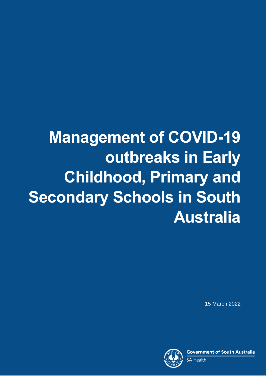# **Management of COVID-19 outbreaks in Early Childhood, Primary and Secondary Schools in South Australia**

15 March 2022

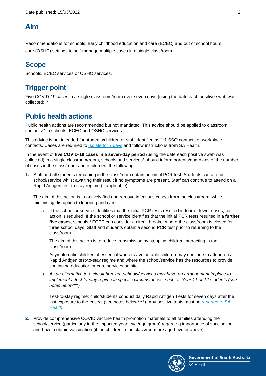#### **Aim**

Recommendations for schools, early childhood education and care (ECEC) and out of school hours care (OSHC) settings to self-manage multiple cases in a single class/room.

# **Scope**

Schools, ECEC services or OSHC services.

### **Trigger point**

Five COVID-19 cases in a single classroom/room over seven days (using the date each positive swab was collected). \*

## **Public health actions**

Public health actions are recommended but not mandated. This advice should be applied to classroom contacts\*\* in schools, ECEC and OSHC services.

This advice is not intended for students/children or staff identified as 1:1 SSO contacts or workplace contacts. Cases are required to [isolate for 7](https://www.sahealth.sa.gov.au/wps/wcm/connect/public+content/sa+health+internet/conditions/infectious+diseases/covid-19/testing+and+tracing/information+about+a+positive+result+for+covid-19) days and follow instructions from SA Health.

In the event of **five COVID-19 cases in a seven-day period** (using the date each positive swab was collected) in a single classroom/room, schools and services\* should inform parents/guardians of the number of cases in the class/room and implement the following:

**1.** Staff and all students remaining in the class/room obtain an initial PCR test. Students can attend school/service whilst awaiting their result if no symptoms are present. Staff can continue to attend on a Rapid Antigen test-to-stay regime (if applicable).

The aim of this action is to actively find and remove infectious case/s from the class/room, while minimising disruption to learning and care.

a. If the school or service identifies that the initial PCR tests resulted in four or fewer cases, no action is required. If the school or service identifies that the initial PCR tests resulted in **a further five cases**, schools / ECEC can consider a circuit breaker where the class/room is closed for three school days. Staff and students obtain a second PCR test prior to returning to the class/room.

The aim of this action is to reduce transmission by stopping children interacting in the class/room.

Asymptomatic children of essential workers / vulnerable children may continue to attend on a Rapid Antigen test-to-stay regime and where the school/service has the resources to provide continuing education or care services on-site.

b. *As an alternative to a circuit breaker, schools/services may have an arrangement in place to implement a test-to-stay regime in specific circumstances, such as Year 11 or 12 students (see notes below\*\*\*)*

Test-to-stay regime: child/students conduct daily Rapid Antigen Tests for seven days after the last exposure to the case/s (see notes below\*\*\*\*). Any positive tests must be *[reported to SA](https://www.sahealth.sa.gov.au/wps/wcm/connect/public+content/sa+health+internet/conditions/infectious+diseases/covid-19/testing+and+tracing/rapid+antigen+testing+rat+for+covid-19)  [Health](https://www.sahealth.sa.gov.au/wps/wcm/connect/public+content/sa+health+internet/conditions/infectious+diseases/covid-19/testing+and+tracing/rapid+antigen+testing+rat+for+covid-19)*.

**2.** Provide comprehensive COVID vaccine health promotion materials to all families attending the school/service (particularly in the impacted year level/age group) regarding importance of vaccination and how to obtain vaccination (if the children in the class/room are aged five or above).